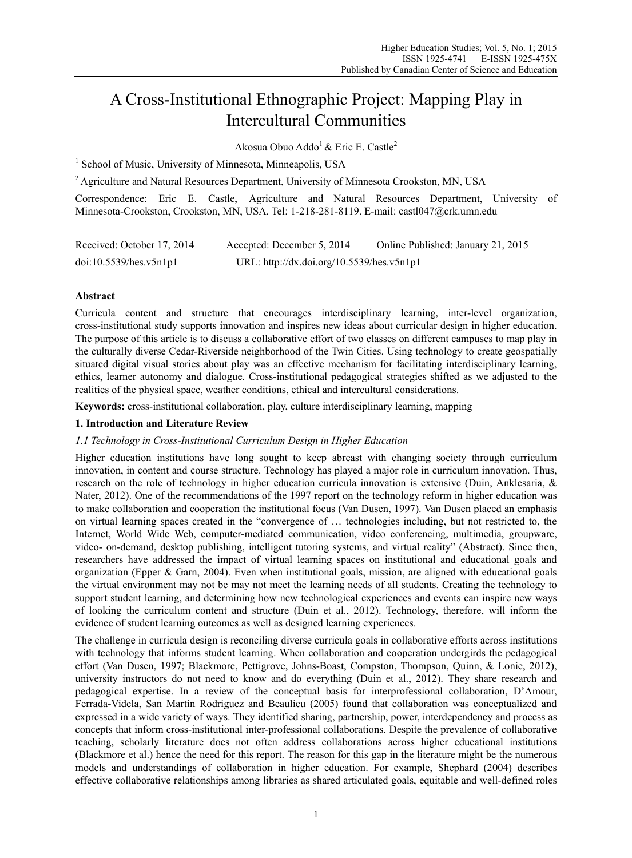# A Cross-Institutional Ethnographic Project: Mapping Play in Intercultural Communities

Akosua Obuo Addo<sup>1</sup> & Eric E. Castle<sup>2</sup>

<sup>1</sup> School of Music, University of Minnesota, Minneapolis, USA

<sup>2</sup> Agriculture and Natural Resources Department, University of Minnesota Crookston, MN, USA

Correspondence: Eric E. Castle, Agriculture and Natural Resources Department, University of Minnesota-Crookston, Crookston, MN, USA. Tel: 1-218-281-8119. E-mail: castl047@crk.umn.edu

| Received: October 17, 2014 | Accepted: December 5, 2014                | Online Published: January 21, 2015 |
|----------------------------|-------------------------------------------|------------------------------------|
| doi:10.5539/hes.v5n1p1     | URL: http://dx.doi.org/10.5539/hes.v5n1p1 |                                    |

# **Abstract**

Curricula content and structure that encourages interdisciplinary learning, inter-level organization, cross-institutional study supports innovation and inspires new ideas about curricular design in higher education. The purpose of this article is to discuss a collaborative effort of two classes on different campuses to map play in the culturally diverse Cedar-Riverside neighborhood of the Twin Cities. Using technology to create geospatially situated digital visual stories about play was an effective mechanism for facilitating interdisciplinary learning, ethics, learner autonomy and dialogue. Cross-institutional pedagogical strategies shifted as we adjusted to the realities of the physical space, weather conditions, ethical and intercultural considerations.

**Keywords:** cross-institutional collaboration, play, culture interdisciplinary learning, mapping

## **1. Introduction and Literature Review**

## *1.1 Technology in Cross-Institutional Curriculum Design in Higher Education*

Higher education institutions have long sought to keep abreast with changing society through curriculum innovation, in content and course structure. Technology has played a major role in curriculum innovation. Thus, research on the role of technology in higher education curricula innovation is extensive (Duin, Anklesaria, & Nater, 2012). One of the recommendations of the 1997 report on the technology reform in higher education was to make collaboration and cooperation the institutional focus (Van Dusen, 1997). Van Dusen placed an emphasis on virtual learning spaces created in the "convergence of … technologies including, but not restricted to, the Internet, World Wide Web, computer-mediated communication, video conferencing, multimedia, groupware, video- on-demand, desktop publishing, intelligent tutoring systems, and virtual reality" (Abstract). Since then, researchers have addressed the impact of virtual learning spaces on institutional and educational goals and organization (Epper & Garn, 2004). Even when institutional goals, mission, are aligned with educational goals the virtual environment may not be may not meet the learning needs of all students. Creating the technology to support student learning, and determining how new technological experiences and events can inspire new ways of looking the curriculum content and structure (Duin et al., 2012). Technology, therefore, will inform the evidence of student learning outcomes as well as designed learning experiences.

The challenge in curricula design is reconciling diverse curricula goals in collaborative efforts across institutions with technology that informs student learning. When collaboration and cooperation undergirds the pedagogical effort (Van Dusen, 1997; Blackmore, Pettigrove, Johns-Boast, Compston, Thompson, Quinn, & Lonie, 2012), university instructors do not need to know and do everything (Duin et al., 2012). They share research and pedagogical expertise. In a review of the conceptual basis for interprofessional collaboration, D'Amour, Ferrada-Videla, San Martin Rodriguez and Beaulieu (2005) found that collaboration was conceptualized and expressed in a wide variety of ways. They identified sharing, partnership, power, interdependency and process as concepts that inform cross-institutional inter-professional collaborations. Despite the prevalence of collaborative teaching, scholarly literature does not often address collaborations across higher educational institutions (Blackmore et al.) hence the need for this report. The reason for this gap in the literature might be the numerous models and understandings of collaboration in higher education. For example, Shephard (2004) describes effective collaborative relationships among libraries as shared articulated goals, equitable and well-defined roles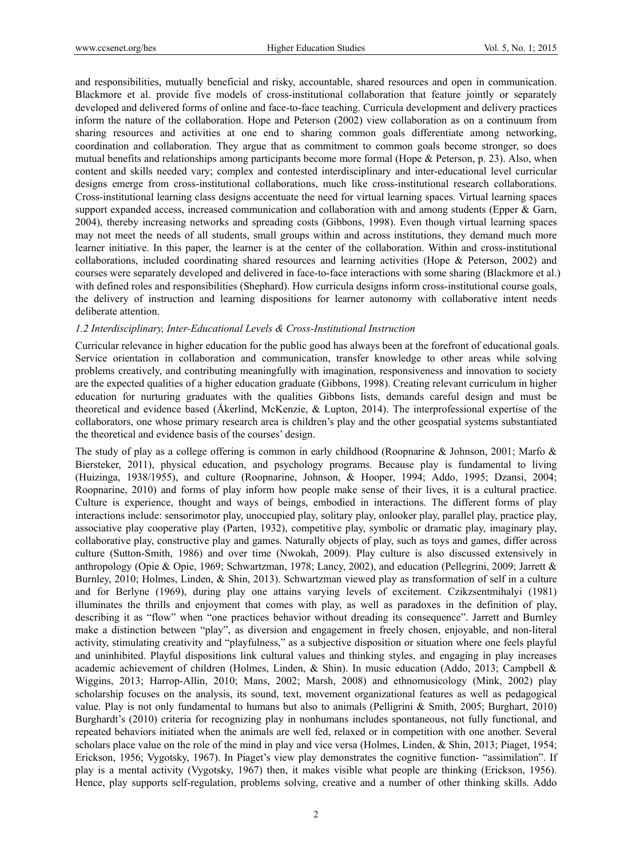and responsibilities, mutually beneficial and risky, accountable, shared resources and open in communication. Blackmore et al. provide five models of cross-institutional collaboration that feature jointly or separately developed and delivered forms of online and face-to-face teaching. Curricula development and delivery practices inform the nature of the collaboration. Hope and Peterson (2002) view collaboration as on a continuum from sharing resources and activities at one end to sharing common goals differentiate among networking, coordination and collaboration. They argue that as commitment to common goals become stronger, so does mutual benefits and relationships among participants become more formal (Hope & Peterson, p. 23). Also, when content and skills needed vary; complex and contested interdisciplinary and inter-educational level curricular designs emerge from cross-institutional collaborations, much like cross-institutional research collaborations. Cross-institutional learning class designs accentuate the need for virtual learning spaces. Virtual learning spaces support expanded access, increased communication and collaboration with and among students (Epper & Garn, 2004), thereby increasing networks and spreading costs (Gibbons, 1998). Even though virtual learning spaces may not meet the needs of all students, small groups within and across institutions, they demand much more learner initiative. In this paper, the learner is at the center of the collaboration. Within and cross-institutional collaborations, included coordinating shared resources and learning activities (Hope & Peterson, 2002) and courses were separately developed and delivered in face-to-face interactions with some sharing (Blackmore et al.) with defined roles and responsibilities (Shephard). How curricula designs inform cross-institutional course goals, the delivery of instruction and learning dispositions for learner autonomy with collaborative intent needs deliberate attention.

#### *1.2 Interdisciplinary, Inter-Educational Levels & Cross-Institutional Instruction*

Curricular relevance in higher education for the public good has always been at the forefront of educational goals. Service orientation in collaboration and communication, transfer knowledge to other areas while solving problems creatively, and contributing meaningfully with imagination, responsiveness and innovation to society are the expected qualities of a higher education graduate (Gibbons, 1998). Creating relevant curriculum in higher education for nurturing graduates with the qualities Gibbons lists, demands careful design and must be theoretical and evidence based (Åkerlind, McKenzie, & Lupton, 2014). The interprofessional expertise of the collaborators, one whose primary research area is children's play and the other geospatial systems substantiated the theoretical and evidence basis of the courses' design.

The study of play as a college offering is common in early childhood (Roopnarine & Johnson, 2001; Marfo & Biersteker, 2011), physical education, and psychology programs. Because play is fundamental to living (Huizinga, 1938/1955), and culture (Roopnarine, Johnson, & Hooper, 1994; Addo, 1995; Dzansi, 2004; Roopnarine, 2010) and forms of play inform how people make sense of their lives, it is a cultural practice. Culture is experience, thought and ways of beings, embodied in interactions. The different forms of play interactions include: sensorimotor play, unoccupied play, solitary play, onlooker play, parallel play, practice play, associative play cooperative play (Parten, 1932), competitive play, symbolic or dramatic play, imaginary play, collaborative play, constructive play and games. Naturally objects of play, such as toys and games, differ across culture (Sutton-Smith, 1986) and over time (Nwokah, 2009). Play culture is also discussed extensively in anthropology (Opie & Opie, 1969; Schwartzman, 1978; Lancy, 2002), and education (Pellegrini, 2009; Jarrett & Burnley, 2010; Holmes, Linden, & Shin, 2013). Schwartzman viewed play as transformation of self in a culture and for Berlyne (1969), during play one attains varying levels of excitement. Czikzsentmihalyi (1981) illuminates the thrills and enjoyment that comes with play, as well as paradoxes in the definition of play, describing it as "flow" when "one practices behavior without dreading its consequence". Jarrett and Burnley make a distinction between "play", as diversion and engagement in freely chosen, enjoyable, and non-literal activity, stimulating creativity and "playfulness," as a subjective disposition or situation where one feels playful and uninhibited. Playful dispositions link cultural values and thinking styles, and engaging in play increases academic achievement of children (Holmes, Linden, & Shin). In music education (Addo, 2013; Campbell & Wiggins, 2013; Harrop-Allin, 2010; Mans, 2002; Marsh, 2008) and ethnomusicology (Mink, 2002) play scholarship focuses on the analysis, its sound, text, movement organizational features as well as pedagogical value. Play is not only fundamental to humans but also to animals (Pelligrini & Smith, 2005; Burghart, 2010) Burghardt's (2010) criteria for recognizing play in nonhumans includes spontaneous, not fully functional, and repeated behaviors initiated when the animals are well fed, relaxed or in competition with one another. Several scholars place value on the role of the mind in play and vice versa (Holmes, Linden, & Shin, 2013; Piaget, 1954; Erickson, 1956; Vygotsky, 1967). In Piaget's view play demonstrates the cognitive function- "assimilation". If play is a mental activity (Vygotsky, 1967) then, it makes visible what people are thinking (Erickson, 1956). Hence, play supports self-regulation, problems solving, creative and a number of other thinking skills. Addo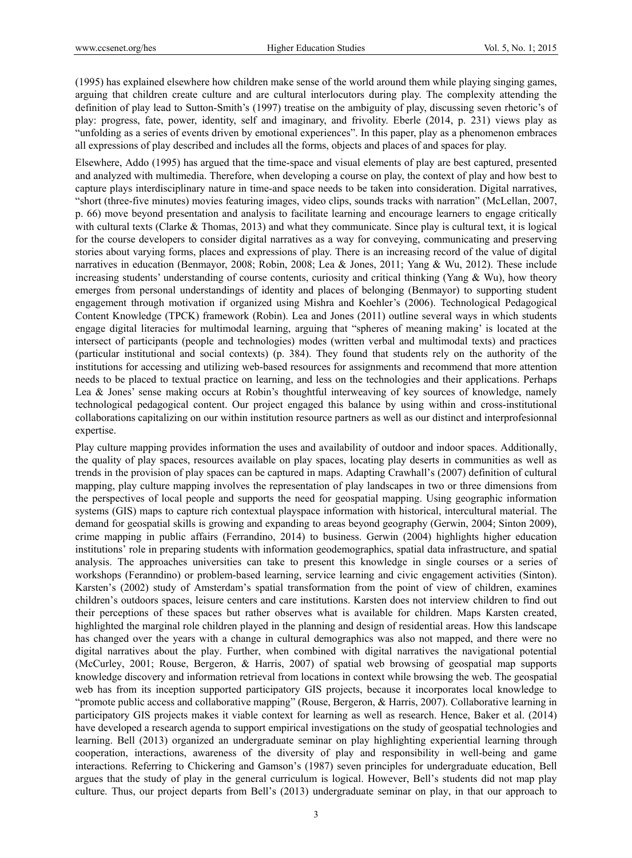(1995) has explained elsewhere how children make sense of the world around them while playing singing games, arguing that children create culture and are cultural interlocutors during play. The complexity attending the definition of play lead to Sutton-Smith's (1997) treatise on the ambiguity of play, discussing seven rhetoric's of play: progress, fate, power, identity, self and imaginary, and frivolity. Eberle (2014, p. 231) views play as "unfolding as a series of events driven by emotional experiences". In this paper, play as a phenomenon embraces all expressions of play described and includes all the forms, objects and places of and spaces for play.

Elsewhere, Addo (1995) has argued that the time-space and visual elements of play are best captured, presented and analyzed with multimedia. Therefore, when developing a course on play, the context of play and how best to capture plays interdisciplinary nature in time-and space needs to be taken into consideration. Digital narratives, "short (three-five minutes) movies featuring images, video clips, sounds tracks with narration" (McLellan, 2007, p. 66) move beyond presentation and analysis to facilitate learning and encourage learners to engage critically with cultural texts (Clarke & Thomas, 2013) and what they communicate. Since play is cultural text, it is logical for the course developers to consider digital narratives as a way for conveying, communicating and preserving stories about varying forms, places and expressions of play. There is an increasing record of the value of digital narratives in education (Benmayor, 2008; Robin, 2008; Lea & Jones, 2011; Yang & Wu, 2012). These include increasing students' understanding of course contents, curiosity and critical thinking (Yang & Wu), how theory emerges from personal understandings of identity and places of belonging (Benmayor) to supporting student engagement through motivation if organized using Mishra and Koehler's (2006). Technological Pedagogical Content Knowledge (TPCK) framework (Robin). Lea and Jones (2011) outline several ways in which students engage digital literacies for multimodal learning, arguing that "spheres of meaning making' is located at the intersect of participants (people and technologies) modes (written verbal and multimodal texts) and practices (particular institutional and social contexts) (p. 384). They found that students rely on the authority of the institutions for accessing and utilizing web-based resources for assignments and recommend that more attention needs to be placed to textual practice on learning, and less on the technologies and their applications. Perhaps Lea & Jones' sense making occurs at Robin's thoughtful interweaving of key sources of knowledge, namely technological pedagogical content. Our project engaged this balance by using within and cross-institutional collaborations capitalizing on our within institution resource partners as well as our distinct and interprofesionnal expertise.

Play culture mapping provides information the uses and availability of outdoor and indoor spaces. Additionally, the quality of play spaces, resources available on play spaces, locating play deserts in communities as well as trends in the provision of play spaces can be captured in maps. Adapting Crawhall's (2007) definition of cultural mapping, play culture mapping involves the representation of play landscapes in two or three dimensions from the perspectives of local people and supports the need for geospatial mapping. Using geographic information systems (GIS) maps to capture rich contextual playspace information with historical, intercultural material. The demand for geospatial skills is growing and expanding to areas beyond geography (Gerwin, 2004; Sinton 2009), crime mapping in public affairs (Ferrandino, 2014) to business. Gerwin (2004) highlights higher education institutions' role in preparing students with information geodemographics, spatial data infrastructure, and spatial analysis. The approaches universities can take to present this knowledge in single courses or a series of workshops (Feranndino) or problem-based learning, service learning and civic engagement activities (Sinton). Karsten's (2002) study of Amsterdam's spatial transformation from the point of view of children, examines children's outdoors spaces, leisure centers and care institutions. Karsten does not interview children to find out their perceptions of these spaces but rather observes what is available for children. Maps Karsten created, highlighted the marginal role children played in the planning and design of residential areas. How this landscape has changed over the years with a change in cultural demographics was also not mapped, and there were no digital narratives about the play. Further, when combined with digital narratives the navigational potential (McCurley, 2001; Rouse, Bergeron, & Harris, 2007) of spatial web browsing of geospatial map supports knowledge discovery and information retrieval from locations in context while browsing the web. The geospatial web has from its inception supported participatory GIS projects, because it incorporates local knowledge to "promote public access and collaborative mapping" (Rouse, Bergeron, & Harris, 2007). Collaborative learning in participatory GIS projects makes it viable context for learning as well as research. Hence, Baker et al. (2014) have developed a research agenda to support empirical investigations on the study of geospatial technologies and learning. Bell (2013) organized an undergraduate seminar on play highlighting experiential learning through cooperation, interactions, awareness of the diversity of play and responsibility in well-being and game interactions. Referring to Chickering and Gamson's (1987) seven principles for undergraduate education, Bell argues that the study of play in the general curriculum is logical. However, Bell's students did not map play culture. Thus, our project departs from Bell's (2013) undergraduate seminar on play, in that our approach to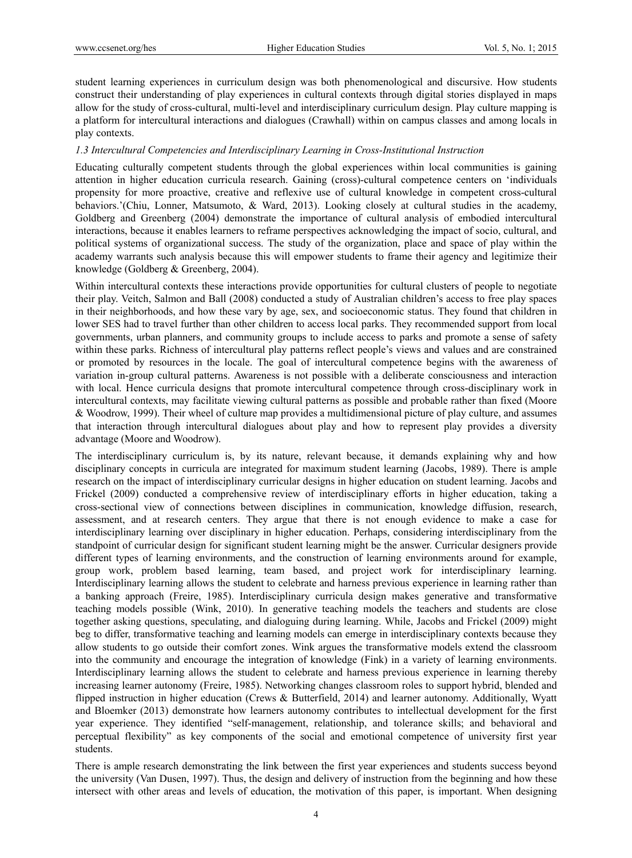student learning experiences in curriculum design was both phenomenological and discursive. How students construct their understanding of play experiences in cultural contexts through digital stories displayed in maps allow for the study of cross-cultural, multi-level and interdisciplinary curriculum design. Play culture mapping is a platform for intercultural interactions and dialogues (Crawhall) within on campus classes and among locals in play contexts.

## *1.3 Intercultural Competencies and Interdisciplinary Learning in Cross-Institutional Instruction*

Educating culturally competent students through the global experiences within local communities is gaining attention in higher education curricula research. Gaining (cross)-cultural competence centers on 'individuals propensity for more proactive, creative and reflexive use of cultural knowledge in competent cross-cultural behaviors.'(Chiu, Lonner, Matsumoto, & Ward, 2013). Looking closely at cultural studies in the academy, Goldberg and Greenberg (2004) demonstrate the importance of cultural analysis of embodied intercultural interactions, because it enables learners to reframe perspectives acknowledging the impact of socio, cultural, and political systems of organizational success. The study of the organization, place and space of play within the academy warrants such analysis because this will empower students to frame their agency and legitimize their knowledge (Goldberg & Greenberg, 2004).

Within intercultural contexts these interactions provide opportunities for cultural clusters of people to negotiate their play. Veitch, Salmon and Ball (2008) conducted a study of Australian children's access to free play spaces in their neighborhoods, and how these vary by age, sex, and socioeconomic status. They found that children in lower SES had to travel further than other children to access local parks. They recommended support from local governments, urban planners, and community groups to include access to parks and promote a sense of safety within these parks. Richness of intercultural play patterns reflect people's views and values and are constrained or promoted by resources in the locale. The goal of intercultural competence begins with the awareness of variation in-group cultural patterns. Awareness is not possible with a deliberate consciousness and interaction with local. Hence curricula designs that promote intercultural competence through cross-disciplinary work in intercultural contexts, may facilitate viewing cultural patterns as possible and probable rather than fixed (Moore & Woodrow, 1999). Their wheel of culture map provides a multidimensional picture of play culture, and assumes that interaction through intercultural dialogues about play and how to represent play provides a diversity advantage (Moore and Woodrow).

The interdisciplinary curriculum is, by its nature, relevant because, it demands explaining why and how disciplinary concepts in curricula are integrated for maximum student learning (Jacobs, 1989). There is ample research on the impact of interdisciplinary curricular designs in higher education on student learning. Jacobs and Frickel (2009) conducted a comprehensive review of interdisciplinary efforts in higher education, taking a cross-sectional view of connections between disciplines in communication, knowledge diffusion, research, assessment, and at research centers. They argue that there is not enough evidence to make a case for interdisciplinary learning over disciplinary in higher education. Perhaps, considering interdisciplinary from the standpoint of curricular design for significant student learning might be the answer. Curricular designers provide different types of learning environments, and the construction of learning environments around for example, group work, problem based learning, team based, and project work for interdisciplinary learning. Interdisciplinary learning allows the student to celebrate and harness previous experience in learning rather than a banking approach (Freire, 1985). Interdisciplinary curricula design makes generative and transformative teaching models possible (Wink, 2010). In generative teaching models the teachers and students are close together asking questions, speculating, and dialoguing during learning. While, Jacobs and Frickel (2009) might beg to differ, transformative teaching and learning models can emerge in interdisciplinary contexts because they allow students to go outside their comfort zones. Wink argues the transformative models extend the classroom into the community and encourage the integration of knowledge (Fink) in a variety of learning environments. Interdisciplinary learning allows the student to celebrate and harness previous experience in learning thereby increasing learner autonomy (Freire, 1985). Networking changes classroom roles to support hybrid, blended and flipped instruction in higher education (Crews & Butterfield, 2014) and learner autonomy. Additionally, Wyatt and Bloemker (2013) demonstrate how learners autonomy contributes to intellectual development for the first year experience. They identified "self-management, relationship, and tolerance skills; and behavioral and perceptual flexibility" as key components of the social and emotional competence of university first year students.

There is ample research demonstrating the link between the first year experiences and students success beyond the university (Van Dusen, 1997). Thus, the design and delivery of instruction from the beginning and how these intersect with other areas and levels of education, the motivation of this paper, is important. When designing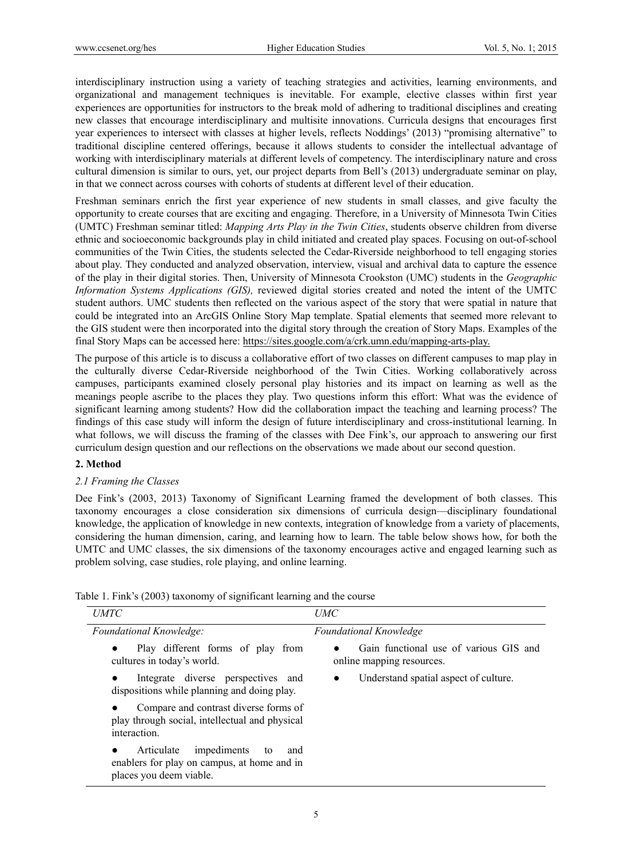interdisciplinary instruction using a variety of teaching strategies and activities, learning environments, and organizational and management techniques is inevitable. For example, elective classes within first year experiences are opportunities for instructors to the break mold of adhering to traditional disciplines and creating new classes that encourage interdisciplinary and multisite innovations. Curricula designs that encourages first year experiences to intersect with classes at higher levels, reflects Noddings' (2013) "promising alternative" to traditional discipline centered offerings, because it allows students to consider the intellectual advantage of working with interdisciplinary materials at different levels of competency. The interdisciplinary nature and cross cultural dimension is similar to ours, yet, our project departs from Bell's (2013) undergraduate seminar on play, in that we connect across courses with cohorts of students at different level of their education.

Freshman seminars enrich the first year experience of new students in small classes, and give faculty the opportunity to create courses that are exciting and engaging. Therefore, in a University of Minnesota Twin Cities (UMTC) Freshman seminar titled: *Mapping Arts Play in the Twin Cities*, students observe children from diverse ethnic and socioeconomic backgrounds play in child initiated and created play spaces. Focusing on out-of-school communities of the Twin Cities, the students selected the Cedar-Riverside neighborhood to tell engaging stories about play. They conducted and analyzed observation, interview, visual and archival data to capture the essence of the play in their digital stories. Then, University of Minnesota Crookston (UMC) students in the *Geographic Information Systems Applications (GIS),* reviewed digital stories created and noted the intent of the UMTC student authors. UMC students then reflected on the various aspect of the story that were spatial in nature that could be integrated into an ArcGIS Online Story Map template. Spatial elements that seemed more relevant to the GIS student were then incorporated into the digital story through the creation of Story Maps. Examples of the final Story Maps can be accessed here: https://sites.google.com/a/crk.umn.edu/mapping-arts-play.

The purpose of this article is to discuss a collaborative effort of two classes on different campuses to map play in the culturally diverse Cedar-Riverside neighborhood of the Twin Cities. Working collaboratively across campuses, participants examined closely personal play histories and its impact on learning as well as the meanings people ascribe to the places they play. Two questions inform this effort: What was the evidence of significant learning among students? How did the collaboration impact the teaching and learning process? The findings of this case study will inform the design of future interdisciplinary and cross-institutional learning. In what follows, we will discuss the framing of the classes with Dee Fink's, our approach to answering our first curriculum design question and our reflections on the observations we made about our second question.

## **2. Method**

## *2.1 Framing the Classes*

Dee Fink's (2003, 2013) Taxonomy of Significant Learning framed the development of both classes. This taxonomy encourages a close consideration six dimensions of curricula design—disciplinary foundational knowledge, the application of knowledge in new contexts, integration of knowledge from a variety of placements, considering the human dimension, caring, and learning how to learn. The table below shows how, for both the UMTC and UMC classes, the six dimensions of the taxonomy encourages active and engaged learning such as problem solving, case studies, role playing, and online learning.

| <i>UMTC</i>                                                                                                                   | <i>UMC</i>                                                          |
|-------------------------------------------------------------------------------------------------------------------------------|---------------------------------------------------------------------|
| Foundational Knowledge:                                                                                                       | <b>Foundational Knowledge</b>                                       |
| Play different forms of play from<br>$\bullet$<br>cultures in today's world.                                                  | Gain functional use of various GIS and<br>online mapping resources. |
| Integrate diverse perspectives and<br>$\bullet$<br>dispositions while planning and doing play.                                | Understand spatial aspect of culture.<br>$\bullet$                  |
| Compare and contrast diverse forms of<br>$\bullet$<br>play through social, intellectual and physical<br>interaction.          |                                                                     |
| impediments<br>Articulate<br>to<br>and<br>$\bullet$<br>enablers for play on campus, at home and in<br>places you deem viable. |                                                                     |

Table 1. Fink's (2003) taxonomy of significant learning and the course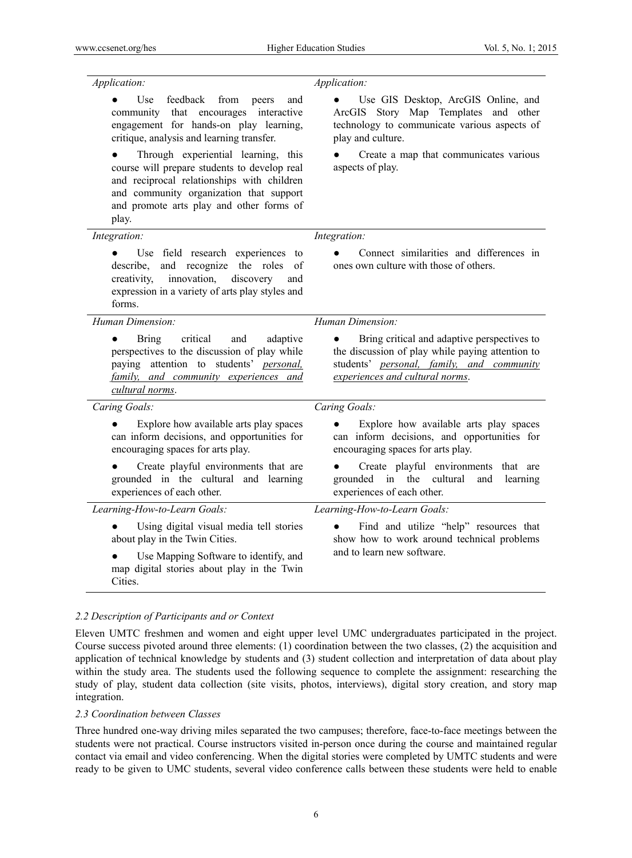| Application:                                                                                                                                                                                                                      | Application:                                                                                                                                                                    |  |
|-----------------------------------------------------------------------------------------------------------------------------------------------------------------------------------------------------------------------------------|---------------------------------------------------------------------------------------------------------------------------------------------------------------------------------|--|
| Use<br>feedback<br>from<br>peers<br>and<br>community that encourages interactive<br>engagement for hands-on play learning,<br>critique, analysis and learning transfer.                                                           | Use GIS Desktop, ArcGIS Online, and<br>ArcGIS Story Map Templates and other<br>technology to communicate various aspects of<br>play and culture.                                |  |
| Through experiential learning, this<br>course will prepare students to develop real<br>and reciprocal relationships with children<br>and community organization that support<br>and promote arts play and other forms of<br>play. | Create a map that communicates various<br>aspects of play.                                                                                                                      |  |
| Integration:                                                                                                                                                                                                                      | Integration:                                                                                                                                                                    |  |
| Use field research experiences<br>to<br>and recognize the roles<br>describe.<br>of<br>innovation,<br>discovery<br>creativity,<br>and<br>expression in a variety of arts play styles and<br>forms                                  | Connect similarities and differences in<br>ones own culture with those of others.                                                                                               |  |
| Human Dimension:                                                                                                                                                                                                                  | Human Dimension:                                                                                                                                                                |  |
| critical<br>and<br>adaptive<br><b>Bring</b><br>perspectives to the discussion of play while<br>paying attention to students' personal,<br>family, and community experiences and<br>cultural norms.                                | Bring critical and adaptive perspectives to<br>the discussion of play while paying attention to<br>students' personal, family, and community<br>experiences and cultural norms. |  |
| Caring Goals:                                                                                                                                                                                                                     | Caring Goals:                                                                                                                                                                   |  |
| Explore how available arts play spaces<br>can inform decisions, and opportunities for<br>encouraging spaces for arts play.                                                                                                        | Explore how available arts play spaces<br>can inform decisions, and opportunities for<br>encouraging spaces for arts play.                                                      |  |
| Create playful environments that are<br>grounded in the cultural and learning<br>experiences of each other.                                                                                                                       | Create playful environments that are<br>the<br>cultural<br>grounded<br>in<br>learning<br>and<br>experiences of each other.                                                      |  |
| Learning-How-to-Learn Goals:                                                                                                                                                                                                      | Learning-How-to-Learn Goals:                                                                                                                                                    |  |
| Using digital visual media tell stories<br>about play in the Twin Cities.<br>Use Mapping Software to identify, and<br>map digital stories about play in the Twin<br>Cities.                                                       | Find and utilize "help" resources that<br>show how to work around technical problems<br>and to learn new software.                                                              |  |

## *2.2 Description of Participants and or Context*

Eleven UMTC freshmen and women and eight upper level UMC undergraduates participated in the project. Course success pivoted around three elements: (1) coordination between the two classes, (2) the acquisition and application of technical knowledge by students and (3) student collection and interpretation of data about play within the study area. The students used the following sequence to complete the assignment: researching the study of play, student data collection (site visits, photos, interviews), digital story creation, and story map integration.

#### *2.3 Coordination between Classes*

Three hundred one-way driving miles separated the two campuses; therefore, face-to-face meetings between the students were not practical. Course instructors visited in-person once during the course and maintained regular contact via email and video conferencing. When the digital stories were completed by UMTC students and were ready to be given to UMC students, several video conference calls between these students were held to enable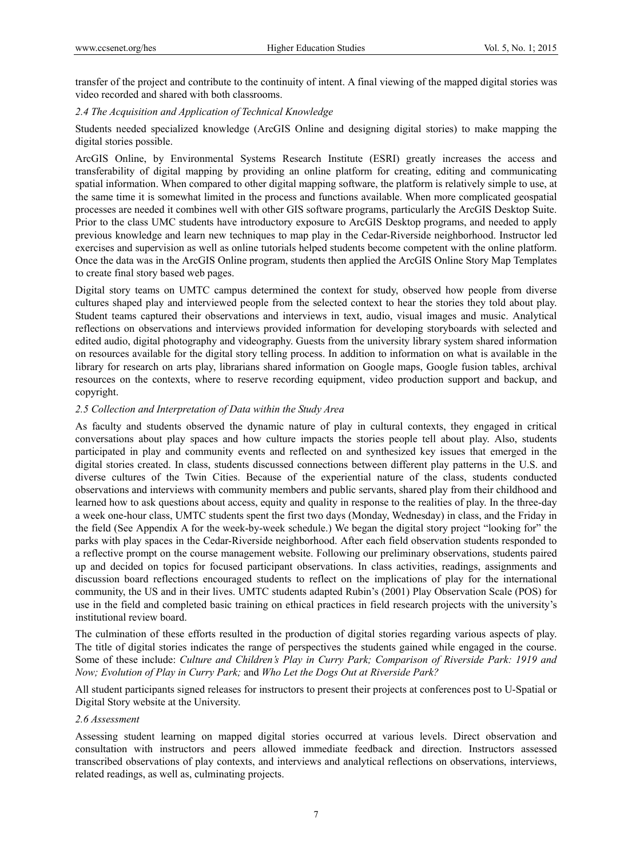transfer of the project and contribute to the continuity of intent. A final viewing of the mapped digital stories was video recorded and shared with both classrooms.

#### *2.4 The Acquisition and Application of Technical Knowledge*

Students needed specialized knowledge (ArcGIS Online and designing digital stories) to make mapping the digital stories possible.

ArcGIS Online, by Environmental Systems Research Institute (ESRI) greatly increases the access and transferability of digital mapping by providing an online platform for creating, editing and communicating spatial information. When compared to other digital mapping software, the platform is relatively simple to use, at the same time it is somewhat limited in the process and functions available. When more complicated geospatial processes are needed it combines well with other GIS software programs, particularly the ArcGIS Desktop Suite. Prior to the class UMC students have introductory exposure to ArcGIS Desktop programs, and needed to apply previous knowledge and learn new techniques to map play in the Cedar-Riverside neighborhood. Instructor led exercises and supervision as well as online tutorials helped students become competent with the online platform. Once the data was in the ArcGIS Online program, students then applied the ArcGIS Online Story Map Templates to create final story based web pages.

Digital story teams on UMTC campus determined the context for study, observed how people from diverse cultures shaped play and interviewed people from the selected context to hear the stories they told about play. Student teams captured their observations and interviews in text, audio, visual images and music. Analytical reflections on observations and interviews provided information for developing storyboards with selected and edited audio, digital photography and videography. Guests from the university library system shared information on resources available for the digital story telling process. In addition to information on what is available in the library for research on arts play, librarians shared information on Google maps, Google fusion tables, archival resources on the contexts, where to reserve recording equipment, video production support and backup, and copyright.

## *2.5 Collection and Interpretation of Data within the Study Area*

As faculty and students observed the dynamic nature of play in cultural contexts, they engaged in critical conversations about play spaces and how culture impacts the stories people tell about play. Also, students participated in play and community events and reflected on and synthesized key issues that emerged in the digital stories created. In class, students discussed connections between different play patterns in the U.S. and diverse cultures of the Twin Cities. Because of the experiential nature of the class, students conducted observations and interviews with community members and public servants, shared play from their childhood and learned how to ask questions about access, equity and quality in response to the realities of play. In the three-day a week one-hour class, UMTC students spent the first two days (Monday, Wednesday) in class, and the Friday in the field (See Appendix A for the week-by-week schedule.) We began the digital story project "looking for" the parks with play spaces in the Cedar-Riverside neighborhood. After each field observation students responded to a reflective prompt on the course management website. Following our preliminary observations, students paired up and decided on topics for focused participant observations. In class activities, readings, assignments and discussion board reflections encouraged students to reflect on the implications of play for the international community, the US and in their lives. UMTC students adapted Rubin's (2001) Play Observation Scale (POS) for use in the field and completed basic training on ethical practices in field research projects with the university's institutional review board.

The culmination of these efforts resulted in the production of digital stories regarding various aspects of play. The title of digital stories indicates the range of perspectives the students gained while engaged in the course. Some of these include: *Culture and Children's Play in Curry Park; Comparison of Riverside Park: 1919 and Now; Evolution of Play in Curry Park;* and *Who Let the Dogs Out at Riverside Park?* 

All student participants signed releases for instructors to present their projects at conferences post to U-Spatial or Digital Story website at the University.

#### *2.6 Assessment*

Assessing student learning on mapped digital stories occurred at various levels. Direct observation and consultation with instructors and peers allowed immediate feedback and direction. Instructors assessed transcribed observations of play contexts, and interviews and analytical reflections on observations, interviews, related readings, as well as, culminating projects.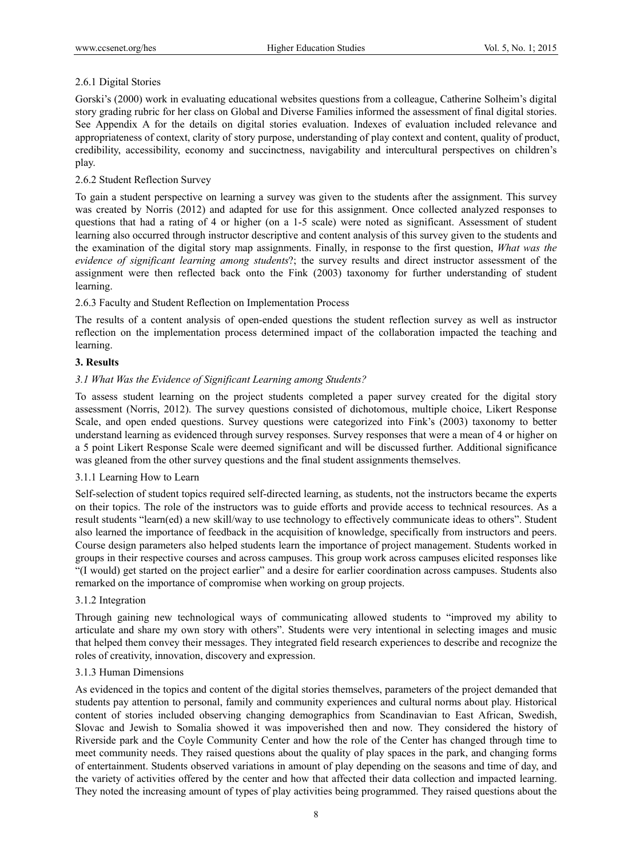## 2.6.1 Digital Stories

Gorski's (2000) work in evaluating educational websites questions from a colleague, Catherine Solheim's digital story grading rubric for her class on Global and Diverse Families informed the assessment of final digital stories. See Appendix A for the details on digital stories evaluation. Indexes of evaluation included relevance and appropriateness of context, clarity of story purpose, understanding of play context and content, quality of product, credibility, accessibility, economy and succinctness, navigability and intercultural perspectives on children's play.

## 2.6.2 Student Reflection Survey

To gain a student perspective on learning a survey was given to the students after the assignment. This survey was created by Norris (2012) and adapted for use for this assignment. Once collected analyzed responses to questions that had a rating of 4 or higher (on a 1-5 scale) were noted as significant. Assessment of student learning also occurred through instructor descriptive and content analysis of this survey given to the students and the examination of the digital story map assignments. Finally, in response to the first question, *What was the evidence of significant learning among students*?; the survey results and direct instructor assessment of the assignment were then reflected back onto the Fink (2003) taxonomy for further understanding of student learning.

## 2.6.3 Faculty and Student Reflection on Implementation Process

The results of a content analysis of open-ended questions the student reflection survey as well as instructor reflection on the implementation process determined impact of the collaboration impacted the teaching and learning.

## **3. Results**

## *3.1 What Was the Evidence of Significant Learning among Students?*

To assess student learning on the project students completed a paper survey created for the digital story assessment (Norris, 2012). The survey questions consisted of dichotomous, multiple choice, Likert Response Scale, and open ended questions. Survey questions were categorized into Fink's (2003) taxonomy to better understand learning as evidenced through survey responses. Survey responses that were a mean of 4 or higher on a 5 point Likert Response Scale were deemed significant and will be discussed further. Additional significance was gleaned from the other survey questions and the final student assignments themselves.

## 3.1.1 Learning How to Learn

Self-selection of student topics required self-directed learning, as students, not the instructors became the experts on their topics. The role of the instructors was to guide efforts and provide access to technical resources. As a result students "learn(ed) a new skill/way to use technology to effectively communicate ideas to others". Student also learned the importance of feedback in the acquisition of knowledge, specifically from instructors and peers. Course design parameters also helped students learn the importance of project management. Students worked in groups in their respective courses and across campuses. This group work across campuses elicited responses like "(I would) get started on the project earlier" and a desire for earlier coordination across campuses. Students also remarked on the importance of compromise when working on group projects.

## 3.1.2 Integration

Through gaining new technological ways of communicating allowed students to "improved my ability to articulate and share my own story with others". Students were very intentional in selecting images and music that helped them convey their messages. They integrated field research experiences to describe and recognize the roles of creativity, innovation, discovery and expression.

## 3.1.3 Human Dimensions

As evidenced in the topics and content of the digital stories themselves, parameters of the project demanded that students pay attention to personal, family and community experiences and cultural norms about play. Historical content of stories included observing changing demographics from Scandinavian to East African, Swedish, Slovac and Jewish to Somalia showed it was impoverished then and now. They considered the history of Riverside park and the Coyle Community Center and how the role of the Center has changed through time to meet community needs. They raised questions about the quality of play spaces in the park, and changing forms of entertainment. Students observed variations in amount of play depending on the seasons and time of day, and the variety of activities offered by the center and how that affected their data collection and impacted learning. They noted the increasing amount of types of play activities being programmed. They raised questions about the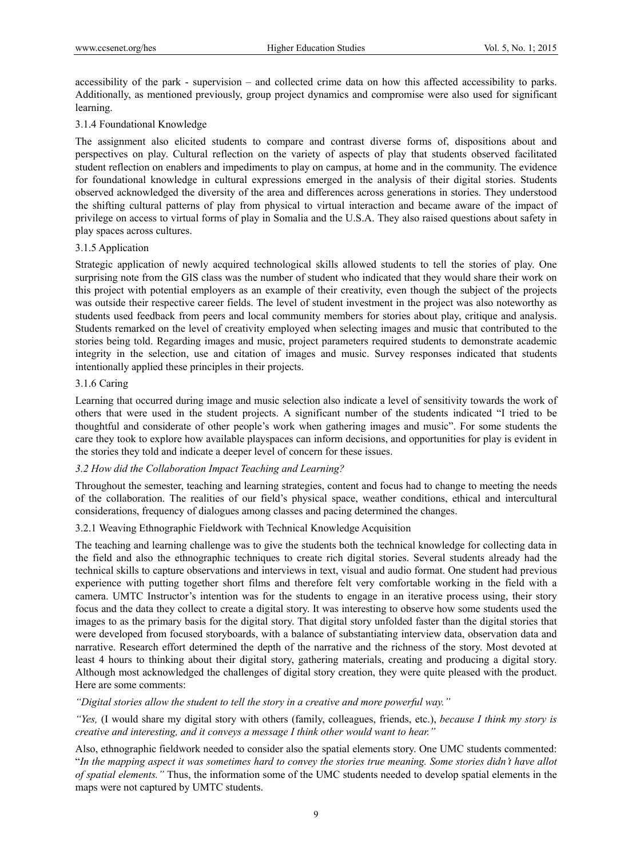accessibility of the park - supervision – and collected crime data on how this affected accessibility to parks. Additionally, as mentioned previously, group project dynamics and compromise were also used for significant learning.

## 3.1.4 Foundational Knowledge

The assignment also elicited students to compare and contrast diverse forms of, dispositions about and perspectives on play. Cultural reflection on the variety of aspects of play that students observed facilitated student reflection on enablers and impediments to play on campus, at home and in the community. The evidence for foundational knowledge in cultural expressions emerged in the analysis of their digital stories. Students observed acknowledged the diversity of the area and differences across generations in stories. They understood the shifting cultural patterns of play from physical to virtual interaction and became aware of the impact of privilege on access to virtual forms of play in Somalia and the U.S.A. They also raised questions about safety in play spaces across cultures.

## 3.1.5 Application

Strategic application of newly acquired technological skills allowed students to tell the stories of play. One surprising note from the GIS class was the number of student who indicated that they would share their work on this project with potential employers as an example of their creativity, even though the subject of the projects was outside their respective career fields. The level of student investment in the project was also noteworthy as students used feedback from peers and local community members for stories about play, critique and analysis. Students remarked on the level of creativity employed when selecting images and music that contributed to the stories being told. Regarding images and music, project parameters required students to demonstrate academic integrity in the selection, use and citation of images and music. Survey responses indicated that students intentionally applied these principles in their projects.

## 3.1.6 Caring

Learning that occurred during image and music selection also indicate a level of sensitivity towards the work of others that were used in the student projects. A significant number of the students indicated "I tried to be thoughtful and considerate of other people's work when gathering images and music". For some students the care they took to explore how available playspaces can inform decisions, and opportunities for play is evident in the stories they told and indicate a deeper level of concern for these issues.

## *3.2 How did the Collaboration Impact Teaching and Learning?*

Throughout the semester, teaching and learning strategies, content and focus had to change to meeting the needs of the collaboration. The realities of our field's physical space, weather conditions, ethical and intercultural considerations, frequency of dialogues among classes and pacing determined the changes.

## 3.2.1 Weaving Ethnographic Fieldwork with Technical Knowledge Acquisition

The teaching and learning challenge was to give the students both the technical knowledge for collecting data in the field and also the ethnographic techniques to create rich digital stories. Several students already had the technical skills to capture observations and interviews in text, visual and audio format. One student had previous experience with putting together short films and therefore felt very comfortable working in the field with a camera. UMTC Instructor's intention was for the students to engage in an iterative process using, their story focus and the data they collect to create a digital story. It was interesting to observe how some students used the images to as the primary basis for the digital story. That digital story unfolded faster than the digital stories that were developed from focused storyboards, with a balance of substantiating interview data, observation data and narrative. Research effort determined the depth of the narrative and the richness of the story. Most devoted at least 4 hours to thinking about their digital story, gathering materials, creating and producing a digital story. Although most acknowledged the challenges of digital story creation, they were quite pleased with the product. Here are some comments:

*"Digital stories allow the student to tell the story in a creative and more powerful way."*

*"Yes,* (I would share my digital story with others (family, colleagues, friends, etc.), *because I think my story is creative and interesting, and it conveys a message I think other would want to hear."*

Also, ethnographic fieldwork needed to consider also the spatial elements story. One UMC students commented: "*In the mapping aspect it was sometimes hard to convey the stories true meaning. Some stories didn't have allot of spatial elements."* Thus, the information some of the UMC students needed to develop spatial elements in the maps were not captured by UMTC students.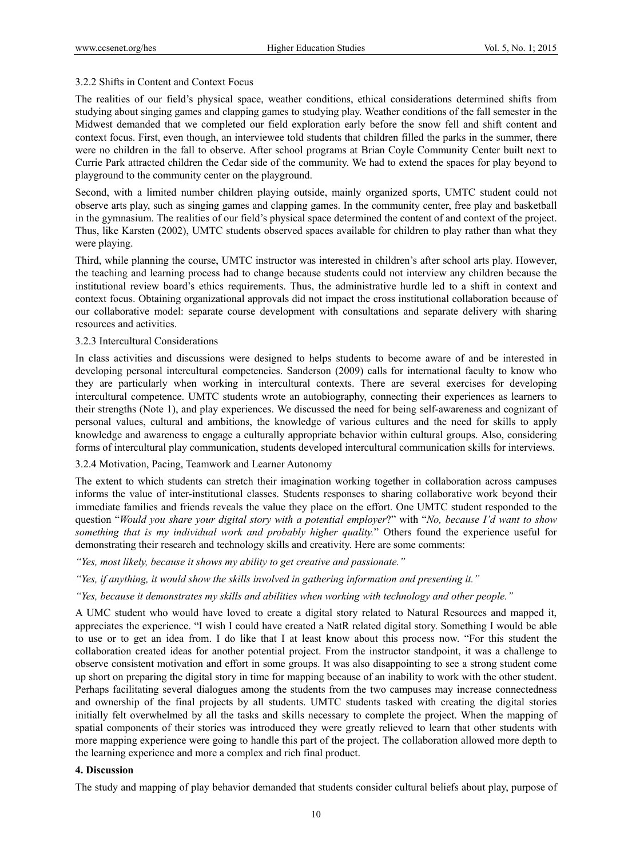## 3.2.2 Shifts in Content and Context Focus

The realities of our field's physical space, weather conditions, ethical considerations determined shifts from studying about singing games and clapping games to studying play. Weather conditions of the fall semester in the Midwest demanded that we completed our field exploration early before the snow fell and shift content and context focus. First, even though, an interviewee told students that children filled the parks in the summer, there were no children in the fall to observe. After school programs at Brian Coyle Community Center built next to Currie Park attracted children the Cedar side of the community. We had to extend the spaces for play beyond to playground to the community center on the playground.

Second, with a limited number children playing outside, mainly organized sports, UMTC student could not observe arts play, such as singing games and clapping games. In the community center, free play and basketball in the gymnasium. The realities of our field's physical space determined the content of and context of the project. Thus, like Karsten (2002), UMTC students observed spaces available for children to play rather than what they were playing.

Third, while planning the course, UMTC instructor was interested in children's after school arts play. However, the teaching and learning process had to change because students could not interview any children because the institutional review board's ethics requirements. Thus, the administrative hurdle led to a shift in context and context focus. Obtaining organizational approvals did not impact the cross institutional collaboration because of our collaborative model: separate course development with consultations and separate delivery with sharing resources and activities.

## 3.2.3 Intercultural Considerations

In class activities and discussions were designed to helps students to become aware of and be interested in developing personal intercultural competencies. Sanderson (2009) calls for international faculty to know who they are particularly when working in intercultural contexts. There are several exercises for developing intercultural competence. UMTC students wrote an autobiography, connecting their experiences as learners to their strengths (Note 1), and play experiences. We discussed the need for being self-awareness and cognizant of personal values, cultural and ambitions, the knowledge of various cultures and the need for skills to apply knowledge and awareness to engage a culturally appropriate behavior within cultural groups. Also, considering forms of intercultural play communication, students developed intercultural communication skills for interviews.

## 3.2.4 Motivation, Pacing, Teamwork and Learner Autonomy

The extent to which students can stretch their imagination working together in collaboration across campuses informs the value of inter-institutional classes. Students responses to sharing collaborative work beyond their immediate families and friends reveals the value they place on the effort. One UMTC student responded to the question "*Would you share your digital story with a potential employer*?" with "*No, because I'd want to show something that is my individual work and probably higher quality.*" Others found the experience useful for demonstrating their research and technology skills and creativity. Here are some comments:

*"Yes, most likely, because it shows my ability to get creative and passionate."* 

*"Yes, if anything, it would show the skills involved in gathering information and presenting it."*

*"Yes, because it demonstrates my skills and abilities when working with technology and other people."*

A UMC student who would have loved to create a digital story related to Natural Resources and mapped it, appreciates the experience. "I wish I could have created a NatR related digital story. Something I would be able to use or to get an idea from. I do like that I at least know about this process now. "For this student the collaboration created ideas for another potential project. From the instructor standpoint, it was a challenge to observe consistent motivation and effort in some groups. It was also disappointing to see a strong student come up short on preparing the digital story in time for mapping because of an inability to work with the other student. Perhaps facilitating several dialogues among the students from the two campuses may increase connectedness and ownership of the final projects by all students. UMTC students tasked with creating the digital stories initially felt overwhelmed by all the tasks and skills necessary to complete the project. When the mapping of spatial components of their stories was introduced they were greatly relieved to learn that other students with more mapping experience were going to handle this part of the project. The collaboration allowed more depth to the learning experience and more a complex and rich final product.

## **4. Discussion**

The study and mapping of play behavior demanded that students consider cultural beliefs about play, purpose of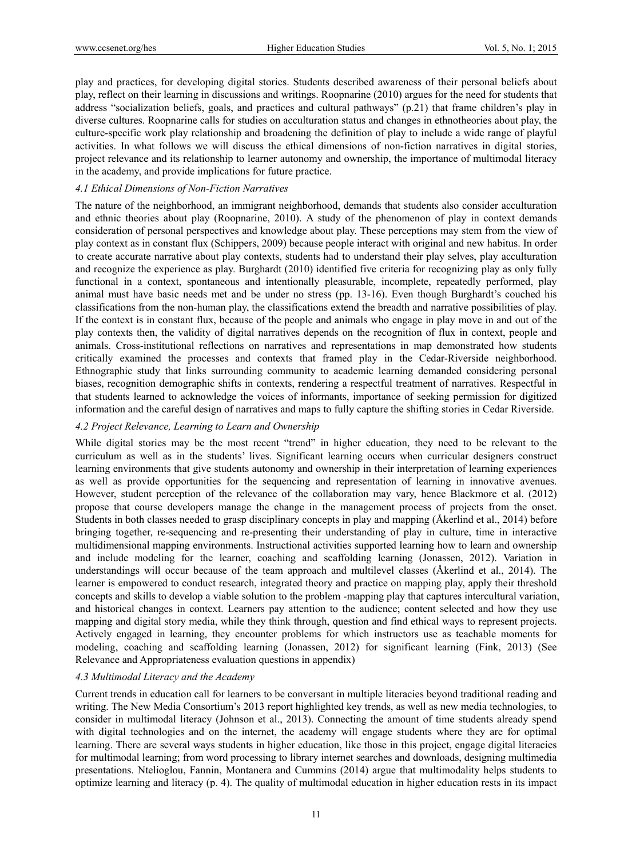play and practices, for developing digital stories. Students described awareness of their personal beliefs about play, reflect on their learning in discussions and writings. Roopnarine (2010) argues for the need for students that address "socialization beliefs, goals, and practices and cultural pathways" (p.21) that frame children's play in diverse cultures. Roopnarine calls for studies on acculturation status and changes in ethnotheories about play, the culture-specific work play relationship and broadening the definition of play to include a wide range of playful activities. In what follows we will discuss the ethical dimensions of non-fiction narratives in digital stories, project relevance and its relationship to learner autonomy and ownership, the importance of multimodal literacy in the academy, and provide implications for future practice.

## *4.1 Ethical Dimensions of Non-Fiction Narratives*

The nature of the neighborhood, an immigrant neighborhood, demands that students also consider acculturation and ethnic theories about play (Roopnarine, 2010). A study of the phenomenon of play in context demands consideration of personal perspectives and knowledge about play. These perceptions may stem from the view of play context as in constant flux (Schippers, 2009) because people interact with original and new habitus. In order to create accurate narrative about play contexts, students had to understand their play selves, play acculturation and recognize the experience as play. Burghardt (2010) identified five criteria for recognizing play as only fully functional in a context, spontaneous and intentionally pleasurable, incomplete, repeatedly performed, play animal must have basic needs met and be under no stress (pp. 13-16). Even though Burghardt's couched his classifications from the non-human play, the classifications extend the breadth and narrative possibilities of play. If the context is in constant flux, because of the people and animals who engage in play move in and out of the play contexts then, the validity of digital narratives depends on the recognition of flux in context, people and animals. Cross-institutional reflections on narratives and representations in map demonstrated how students critically examined the processes and contexts that framed play in the Cedar-Riverside neighborhood. Ethnographic study that links surrounding community to academic learning demanded considering personal biases, recognition demographic shifts in contexts, rendering a respectful treatment of narratives. Respectful in that students learned to acknowledge the voices of informants, importance of seeking permission for digitized information and the careful design of narratives and maps to fully capture the shifting stories in Cedar Riverside.

# *4.2 Project Relevance, Learning to Learn and Ownership*

While digital stories may be the most recent "trend" in higher education, they need to be relevant to the curriculum as well as in the students' lives. Significant learning occurs when curricular designers construct learning environments that give students autonomy and ownership in their interpretation of learning experiences as well as provide opportunities for the sequencing and representation of learning in innovative avenues. However, student perception of the relevance of the collaboration may vary, hence Blackmore et al. (2012) propose that course developers manage the change in the management process of projects from the onset. Students in both classes needed to grasp disciplinary concepts in play and mapping (Åkerlind et al., 2014) before bringing together, re-sequencing and re-presenting their understanding of play in culture, time in interactive multidimensional mapping environments. Instructional activities supported learning how to learn and ownership and include modeling for the learner, coaching and scaffolding learning (Jonassen, 2012). Variation in understandings will occur because of the team approach and multilevel classes (Åkerlind et al., 2014). The learner is empowered to conduct research, integrated theory and practice on mapping play, apply their threshold concepts and skills to develop a viable solution to the problem -mapping play that captures intercultural variation, and historical changes in context. Learners pay attention to the audience; content selected and how they use mapping and digital story media, while they think through, question and find ethical ways to represent projects. Actively engaged in learning, they encounter problems for which instructors use as teachable moments for modeling, coaching and scaffolding learning (Jonassen, 2012) for significant learning (Fink, 2013) (See Relevance and Appropriateness evaluation questions in appendix)

## *4.3 Multimodal Literacy and the Academy*

Current trends in education call for learners to be conversant in multiple literacies beyond traditional reading and writing. The New Media Consortium's 2013 report highlighted key trends, as well as new media technologies, to consider in multimodal literacy (Johnson et al., 2013). Connecting the amount of time students already spend with digital technologies and on the internet, the academy will engage students where they are for optimal learning. There are several ways students in higher education, like those in this project, engage digital literacies for multimodal learning; from word processing to library internet searches and downloads, designing multimedia presentations. Ntelioglou, Fannin, Montanera and Cummins (2014) argue that multimodality helps students to optimize learning and literacy (p. 4). The quality of multimodal education in higher education rests in its impact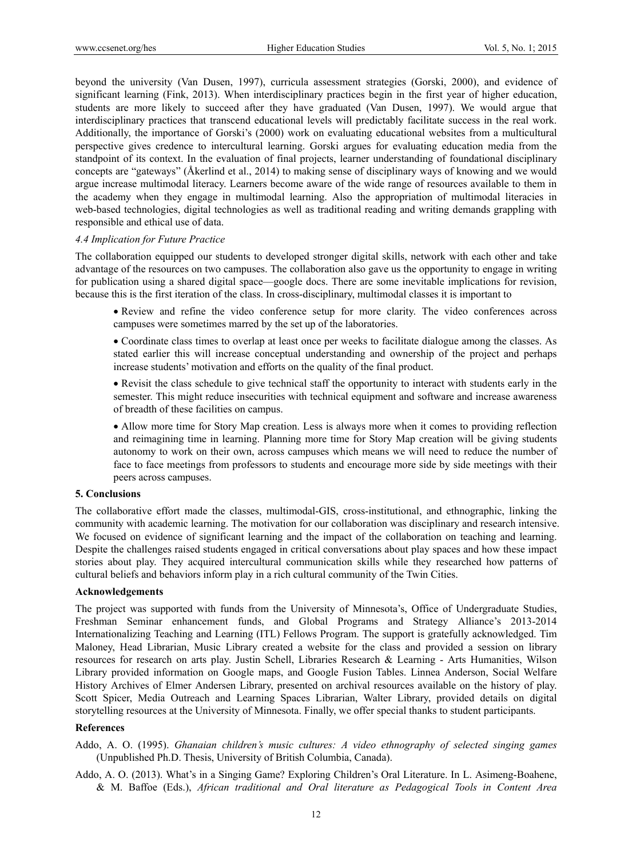beyond the university (Van Dusen, 1997), curricula assessment strategies (Gorski, 2000), and evidence of significant learning (Fink, 2013). When interdisciplinary practices begin in the first year of higher education, students are more likely to succeed after they have graduated (Van Dusen, 1997). We would argue that interdisciplinary practices that transcend educational levels will predictably facilitate success in the real work. Additionally, the importance of Gorski's (2000) work on evaluating educational websites from a multicultural perspective gives credence to intercultural learning. Gorski argues for evaluating education media from the standpoint of its context. In the evaluation of final projects, learner understanding of foundational disciplinary concepts are "gateways" (Åkerlind et al., 2014) to making sense of disciplinary ways of knowing and we would argue increase multimodal literacy. Learners become aware of the wide range of resources available to them in the academy when they engage in multimodal learning. Also the appropriation of multimodal literacies in web-based technologies, digital technologies as well as traditional reading and writing demands grappling with responsible and ethical use of data.

#### *4.4 Implication for Future Practice*

The collaboration equipped our students to developed stronger digital skills, network with each other and take advantage of the resources on two campuses. The collaboration also gave us the opportunity to engage in writing for publication using a shared digital space—google docs. There are some inevitable implications for revision, because this is the first iteration of the class. In cross-disciplinary, multimodal classes it is important to

 Review and refine the video conference setup for more clarity. The video conferences across campuses were sometimes marred by the set up of the laboratories.

 Coordinate class times to overlap at least once per weeks to facilitate dialogue among the classes. As stated earlier this will increase conceptual understanding and ownership of the project and perhaps increase students' motivation and efforts on the quality of the final product.

 Revisit the class schedule to give technical staff the opportunity to interact with students early in the semester. This might reduce insecurities with technical equipment and software and increase awareness of breadth of these facilities on campus.

• Allow more time for Story Map creation. Less is always more when it comes to providing reflection and reimagining time in learning. Planning more time for Story Map creation will be giving students autonomy to work on their own, across campuses which means we will need to reduce the number of face to face meetings from professors to students and encourage more side by side meetings with their peers across campuses.

#### **5. Conclusions**

The collaborative effort made the classes, multimodal-GIS, cross-institutional, and ethnographic, linking the community with academic learning. The motivation for our collaboration was disciplinary and research intensive. We focused on evidence of significant learning and the impact of the collaboration on teaching and learning. Despite the challenges raised students engaged in critical conversations about play spaces and how these impact stories about play. They acquired intercultural communication skills while they researched how patterns of cultural beliefs and behaviors inform play in a rich cultural community of the Twin Cities.

## **Acknowledgements**

The project was supported with funds from the University of Minnesota's, Office of Undergraduate Studies, Freshman Seminar enhancement funds, and Global Programs and Strategy Alliance's 2013-2014 Internationalizing Teaching and Learning (ITL) Fellows Program. The support is gratefully acknowledged. Tim Maloney, Head Librarian, Music Library created a website for the class and provided a session on library resources for research on arts play. Justin Schell, Libraries Research & Learning - Arts Humanities, Wilson Library provided information on Google maps, and Google Fusion Tables. Linnea Anderson, Social Welfare History Archives of Elmer Andersen Library, presented on archival resources available on the history of play. Scott Spicer, Media Outreach and Learning Spaces Librarian, Walter Library, provided details on digital storytelling resources at the University of Minnesota. Finally, we offer special thanks to student participants.

## **References**

Addo, A. O. (1995). *Ghanaian children's music cultures: A video ethnography of selected singing games* (Unpublished Ph.D. Thesis, University of British Columbia, Canada).

Addo, A. O. (2013). What's in a Singing Game? Exploring Children's Oral Literature. In L. Asimeng-Boahene, & M. Baffoe (Eds.), *African traditional and Oral literature as Pedagogical Tools in Content Area*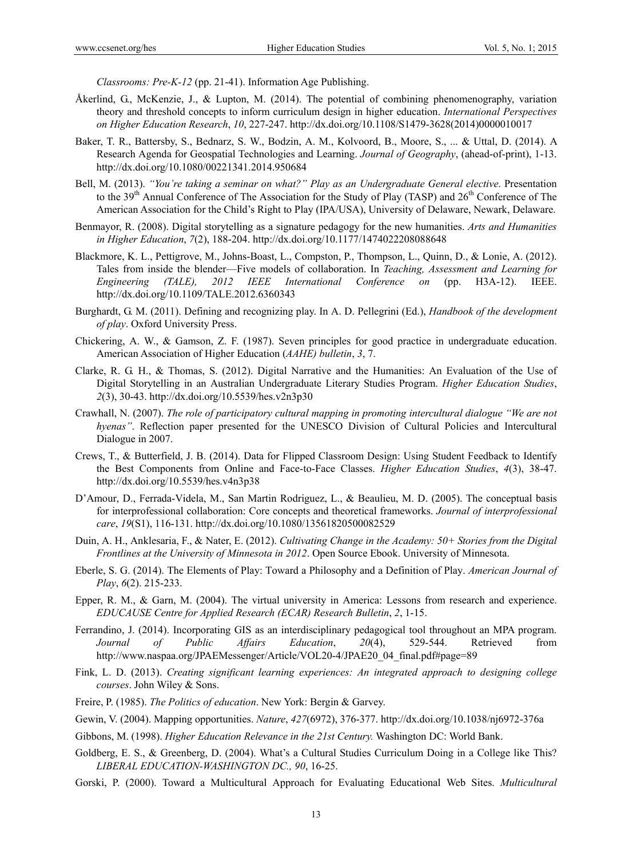*Classrooms: Pre-K-12* (pp. 21-41). Information Age Publishing.

- Åkerlind, G., McKenzie, J., & Lupton, M. (2014). The potential of combining phenomenography, variation theory and threshold concepts to inform curriculum design in higher education. *International Perspectives on Higher Education Research*, *10*, 227-247. http://dx.doi.org/10.1108/S1479-3628(2014)0000010017
- Baker, T. R., Battersby, S., Bednarz, S. W., Bodzin, A. M., Kolvoord, B., Moore, S., ... & Uttal, D. (2014). A Research Agenda for Geospatial Technologies and Learning. *Journal of Geography*, (ahead-of-print), 1-13. http://dx.doi.org/10.1080/00221341.2014.950684
- Bell, M. (2013). *"You're taking a seminar on what?" Play as an Undergraduate General elective*. Presentation to the 39<sup>th</sup> Annual Conference of The Association for the Study of Play (TASP) and  $26<sup>th</sup>$  Conference of The American Association for the Child's Right to Play (IPA/USA), University of Delaware, Newark, Delaware.
- Benmayor, R. (2008). Digital storytelling as a signature pedagogy for the new humanities. *Arts and Humanities in Higher Education*, *7*(2), 188-204. http://dx.doi.org/10.1177/1474022208088648
- Blackmore, K. L., Pettigrove, M., Johns-Boast, L., Compston, P., Thompson, L., Quinn, D., & Lonie, A. (2012). Tales from inside the blender—Five models of collaboration. In *Teaching, Assessment and Learning for Engineering (TALE), 2012 IEEE International Conference on* (pp. H3A-12). IEEE. http://dx.doi.org/10.1109/TALE.2012.6360343
- Burghardt, G. M. (2011). Defining and recognizing play. In A. D. Pellegrini (Ed.), *Handbook of the development of play*. Oxford University Press.
- Chickering, A. W., & Gamson, Z. F. (1987). Seven principles for good practice in undergraduate education. American Association of Higher Education (*AAHE) bulletin*, *3*, 7.
- Clarke, R. G. H., & Thomas, S. (2012). Digital Narrative and the Humanities: An Evaluation of the Use of Digital Storytelling in an Australian Undergraduate Literary Studies Program. *Higher Education Studies*, *2*(3), 30-43. http://dx.doi.org/10.5539/hes.v2n3p30
- Crawhall, N. (2007). *The role of participatory cultural mapping in promoting intercultural dialogue "We are not hyenas"*. Reflection paper presented for the UNESCO Division of Cultural Policies and Intercultural Dialogue in 2007.
- Crews, T., & Butterfield, J. B. (2014). Data for Flipped Classroom Design: Using Student Feedback to Identify the Best Components from Online and Face-to-Face Classes. *Higher Education Studies*, *4*(3), 38-47. http://dx.doi.org/10.5539/hes.v4n3p38
- D'Amour, D., Ferrada-Videla, M., San Martin Rodriguez, L., & Beaulieu, M. D. (2005). The conceptual basis for interprofessional collaboration: Core concepts and theoretical frameworks. *Journal of interprofessional care*, *19*(S1), 116-131. http://dx.doi.org/10.1080/13561820500082529
- Duin, A. H., Anklesaria, F., & Nater, E. (2012). *Cultivating Change in the Academy: 50+ Stories from the Digital Frontlines at the University of Minnesota in 2012*. Open Source Ebook. University of Minnesota.
- Eberle, S. G. (2014). The Elements of Play: Toward a Philosophy and a Definition of Play. *American Journal of Play*, *6*(2). 215-233.
- Epper, R. M., & Garn, M. (2004). The virtual university in America: Lessons from research and experience. *EDUCAUSE Centre for Applied Research (ECAR) Research Bulletin*, *2*, 1-15.
- Ferrandino, J. (2014). Incorporating GIS as an interdisciplinary pedagogical tool throughout an MPA program. *Journal of Public Affairs Education*, *20*(4), 529-544. Retrieved from http://www.naspaa.org/JPAEMessenger/Article/VOL20-4/JPAE20\_04\_final.pdf#page=89
- Fink, L. D. (2013). *Creating significant learning experiences: An integrated approach to designing college courses*. John Wiley & Sons.
- Freire, P. (1985). *The Politics of education*. New York: Bergin & Garvey.
- Gewin, V. (2004). Mapping opportunities. *Nature*, *427*(6972), 376-377. http://dx.doi.org/10.1038/nj6972-376a
- Gibbons, M. (1998). *Higher Education Relevance in the 21st Century.* Washington DC: World Bank.
- Goldberg, E. S., & Greenberg, D. (2004). What's a Cultural Studies Curriculum Doing in a College like This? *LIBERAL EDUCATION-WASHINGTON DC., 90*, 16-25.
- Gorski, P. (2000). Toward a Multicultural Approach for Evaluating Educational Web Sites. *Multicultural*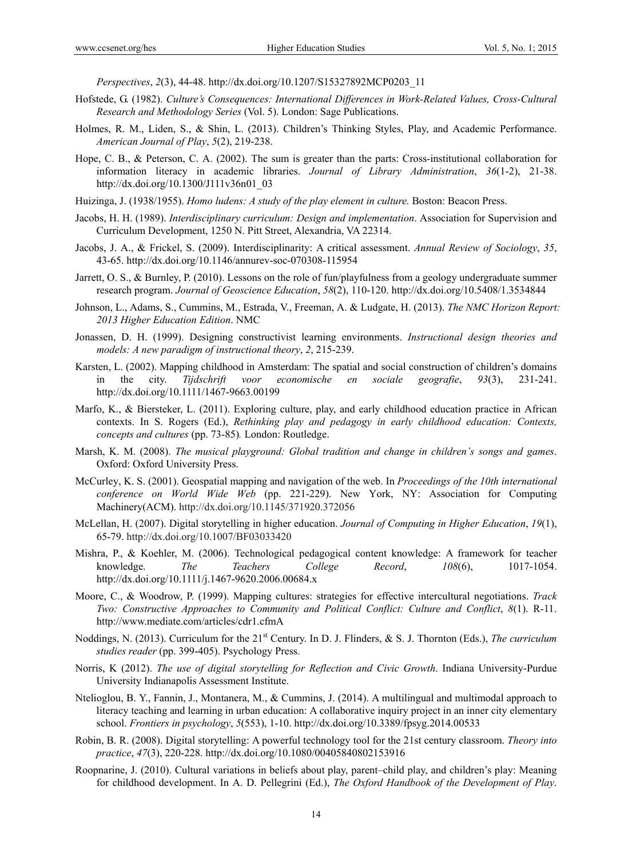*Perspectives*, *2*(3), 44-48. http://dx.doi.org/10.1207/S15327892MCP0203\_11

- Hofstede, G. (1982). *Culture's Consequences: International Differences in Work-Related Values, Cross-Cultural Research and Methodology Series* (Vol. 5). London: Sage Publications.
- Holmes, R. M., Liden, S., & Shin, L. (2013). Children's Thinking Styles, Play, and Academic Performance. *American Journal of Play*, *5*(2), 219-238.
- Hope, C. B., & Peterson, C. A. (2002). The sum is greater than the parts: Cross-institutional collaboration for information literacy in academic libraries. *Journal of Library Administration*, *36*(1-2), 21-38. http://dx.doi.org/10.1300/J111v36n01\_03
- Huizinga, J. (1938/1955). *Homo ludens: A study of the play element in culture.* Boston: Beacon Press.
- Jacobs, H. H. (1989). *Interdisciplinary curriculum: Design and implementation*. Association for Supervision and Curriculum Development, 1250 N. Pitt Street, Alexandria, VA 22314.
- Jacobs, J. A., & Frickel, S. (2009). Interdisciplinarity: A critical assessment. *Annual Review of Sociology*, *35*, 43-65. http://dx.doi.org/10.1146/annurev-soc-070308-115954
- Jarrett, O. S., & Burnley, P. (2010). Lessons on the role of fun/playfulness from a geology undergraduate summer research program. *Journal of Geoscience Education*, *58*(2), 110-120. http://dx.doi.org/10.5408/1.3534844
- Johnson, L., Adams, S., Cummins, M., Estrada, V., Freeman, A. & Ludgate, H. (2013). *The NMC Horizon Report: 2013 Higher Education Edition*. NMC
- Jonassen, D. H. (1999). Designing constructivist learning environments. *Instructional design theories and models: A new paradigm of instructional theory*, *2*, 215-239.
- Karsten, L. (2002). Mapping childhood in Amsterdam: The spatial and social construction of children's domains in the city. *Tijdschrift voor economische en sociale geografie*, *93*(3), 231-241. http://dx.doi.org/10.1111/1467-9663.00199
- Marfo, K., & Biersteker, L. (2011). Exploring culture, play, and early childhood education practice in African contexts. In S. Rogers (Ed.), *Rethinking play and pedagogy in early childhood education: Contexts, concepts and cultures* (pp. 73-85)*.* London: Routledge.
- Marsh, K. M. (2008). *The musical playground: Global tradition and change in children's songs and games*. Oxford: Oxford University Press.
- McCurley, K. S. (2001). Geospatial mapping and navigation of the web. In *Proceedings of the 10th international conference on World Wide Web* (pp. 221-229). New York, NY: Association for Computing Machinery(ACM). http://dx.doi.org/10.1145/371920.372056
- McLellan, H. (2007). Digital storytelling in higher education. *Journal of Computing in Higher Education*, *19*(1), 65-79. http://dx.doi.org/10.1007/BF03033420
- Mishra, P., & Koehler, M. (2006). Technological pedagogical content knowledge: A framework for teacher knowledge. *The Teachers College Record*, *108*(6), 1017-1054. http://dx.doi.org/10.1111/j.1467-9620.2006.00684.x
- Moore, C., & Woodrow, P. (1999). Mapping cultures: strategies for effective intercultural negotiations. *Track Two: Constructive Approaches to Community and Political Conflict: Culture and Conflict*, *8*(1). R-11. http://www.mediate.com/articles/cdr1.cfmA
- Noddings, N. (2013). Curriculum for the 21<sup>st</sup> Century. In D. J. Flinders, & S. J. Thornton (Eds.), *The curriculum studies reader* (pp. 399-405). Psychology Press.
- Norris, K (2012). *The use of digital storytelling for Reflection and Civic Growth*. Indiana University-Purdue University Indianapolis Assessment Institute.
- Ntelioglou, B. Y., Fannin, J., Montanera, M., & Cummins, J. (2014). A multilingual and multimodal approach to literacy teaching and learning in urban education: A collaborative inquiry project in an inner city elementary school. *Frontiers in psychology*, *5*(553), 1-10. http://dx.doi.org/10.3389/fpsyg.2014.00533
- Robin, B. R. (2008). Digital storytelling: A powerful technology tool for the 21st century classroom. *Theory into practice*, *47*(3), 220-228. http://dx.doi.org/10.1080/00405840802153916
- Roopnarine, J. (2010). Cultural variations in beliefs about play, parent–child play, and children's play: Meaning for childhood development. In A. D. Pellegrini (Ed.), *The Oxford Handbook of the Development of Play*.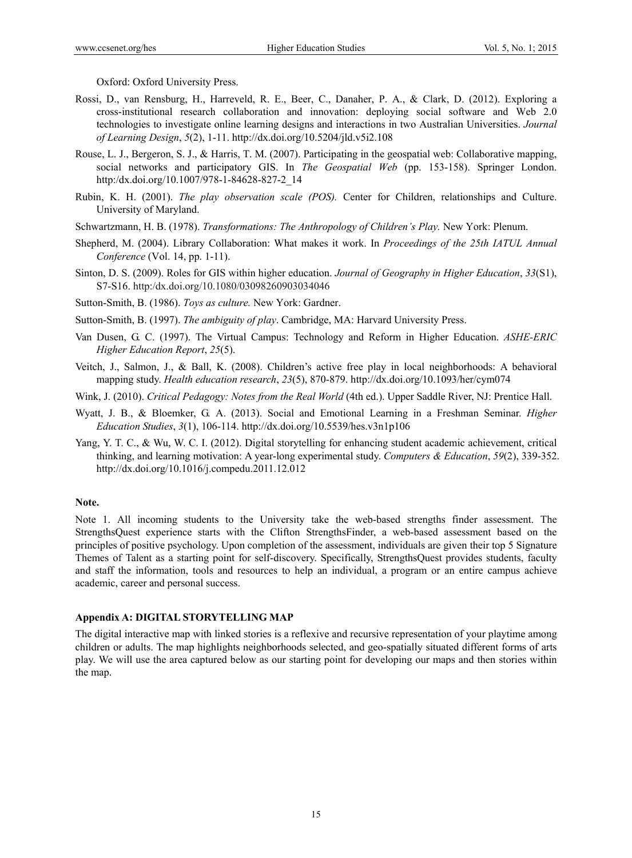Oxford: Oxford University Press.

- Rossi, D., van Rensburg, H., Harreveld, R. E., Beer, C., Danaher, P. A., & Clark, D. (2012). Exploring a cross-institutional research collaboration and innovation: deploying social software and Web 2.0 technologies to investigate online learning designs and interactions in two Australian Universities. *Journal of Learning Design*, *5*(2), 1-11. http://dx.doi.org/10.5204/jld.v5i2.108
- Rouse, L. J., Bergeron, S. J., & Harris, T. M. (2007). Participating in the geospatial web: Collaborative mapping, social networks and participatory GIS. In *The Geospatial Web* (pp. 153-158). Springer London. http:/dx.doi.org/10.1007/978-1-84628-827-2\_14
- Rubin, K. H. (2001). *The play observation scale (POS).* Center for Children, relationships and Culture. University of Maryland.
- Schwartzmann, H. B. (1978). *Transformations: The Anthropology of Children's Play.* New York: Plenum.
- Shepherd, M. (2004). Library Collaboration: What makes it work. In *Proceedings of the 25th IATUL Annual Conference* (Vol. 14, pp. 1-11).
- Sinton, D. S. (2009). Roles for GIS within higher education. *Journal of Geography in Higher Education*, *33*(S1), S7-S16. http:/dx.doi.org/10.1080/03098260903034046
- Sutton-Smith, B. (1986). *Toys as culture.* New York: Gardner.

Sutton-Smith, B. (1997). *The ambiguity of play*. Cambridge, MA: Harvard University Press.

- Van Dusen, G. C. (1997). The Virtual Campus: Technology and Reform in Higher Education. *ASHE-ERIC Higher Education Report*, *25*(5).
- Veitch, J., Salmon, J., & Ball, K. (2008). Children's active free play in local neighborhoods: A behavioral mapping study. *Health education research*, *23*(5), 870-879. http://dx.doi.org/10.1093/her/cym074
- Wink, J. (2010). *Critical Pedagogy: Notes from the Real World* (4th ed.). Upper Saddle River, NJ: Prentice Hall.
- Wyatt, J. B., & Bloemker, G. A. (2013). Social and Emotional Learning in a Freshman Seminar. *Higher Education Studies*, *3*(1), 106-114. http://dx.doi.org/10.5539/hes.v3n1p106
- Yang, Y. T. C., & Wu, W. C. I. (2012). Digital storytelling for enhancing student academic achievement, critical thinking, and learning motivation: A year-long experimental study. *Computers & Education*, *59*(2), 339-352. http://dx.doi.org/10.1016/j.compedu.2011.12.012

#### **Note.**

Note 1. All incoming students to the University take the web-based strengths finder assessment. The StrengthsQuest experience starts with the Clifton StrengthsFinder, a web-based assessment based on the principles of positive psychology. Upon completion of the assessment, individuals are given their top 5 Signature Themes of Talent as a starting point for self-discovery. Specifically, StrengthsQuest provides students, faculty and staff the information, tools and resources to help an individual, a program or an entire campus achieve academic, career and personal success.

#### **Appendix A: DIGITAL STORYTELLING MAP**

The digital interactive map with linked stories is a reflexive and recursive representation of your playtime among children or adults. The map highlights neighborhoods selected, and geo-spatially situated different forms of arts play. We will use the area captured below as our starting point for developing our maps and then stories within the map.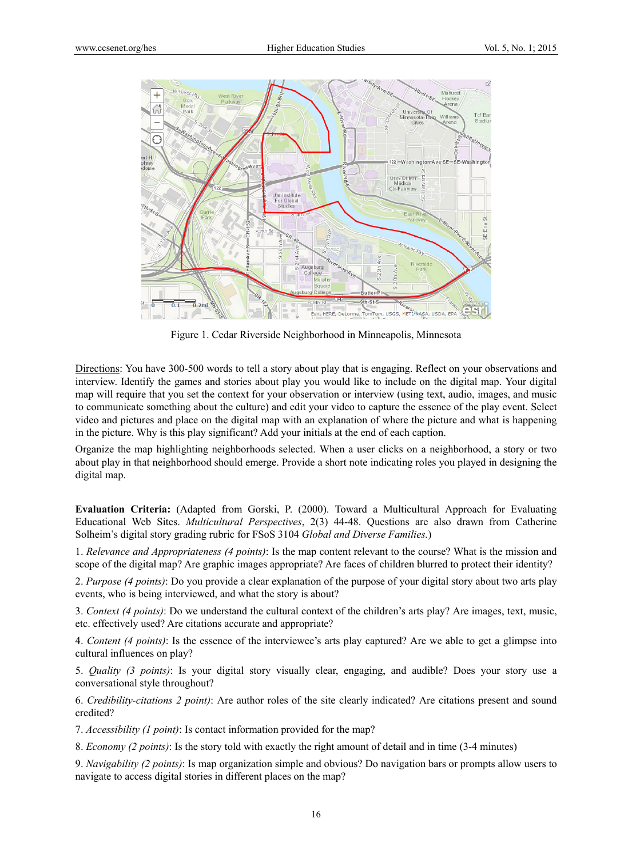

Figure 1. Cedar Riverside Neighborhood in Minneapolis, Minnesota

Directions: You have 300-500 words to tell a story about play that is engaging. Reflect on your observations and interview. Identify the games and stories about play you would like to include on the digital map. Your digital map will require that you set the context for your observation or interview (using text, audio, images, and music to communicate something about the culture) and edit your video to capture the essence of the play event. Select video and pictures and place on the digital map with an explanation of where the picture and what is happening in the picture. Why is this play significant? Add your initials at the end of each caption.

Organize the map highlighting neighborhoods selected. When a user clicks on a neighborhood, a story or two about play in that neighborhood should emerge. Provide a short note indicating roles you played in designing the digital map.

**Evaluation Criteria:** (Adapted from Gorski, P. (2000). Toward a Multicultural Approach for Evaluating Educational Web Sites. *Multicultural Perspectives*, 2(3) 44-48. Questions are also drawn from Catherine Solheim's digital story grading rubric for FSoS 3104 *Global and Diverse Families.*)

1. *Relevance and Appropriateness (4 points)*: Is the map content relevant to the course? What is the mission and scope of the digital map? Are graphic images appropriate? Are faces of children blurred to protect their identity?

2. *Purpose (4 points)*: Do you provide a clear explanation of the purpose of your digital story about two arts play events, who is being interviewed, and what the story is about?

3. *Context (4 points)*: Do we understand the cultural context of the children's arts play? Are images, text, music, etc. effectively used? Are citations accurate and appropriate?

4. *Content (4 points)*: Is the essence of the interviewee's arts play captured? Are we able to get a glimpse into cultural influences on play?

5. *Quality (3 points)*: Is your digital story visually clear, engaging, and audible? Does your story use a conversational style throughout?

6. *Credibility-citations 2 point)*: Are author roles of the site clearly indicated? Are citations present and sound credited?

7. *Accessibility (1 point)*: Is contact information provided for the map?

8. *Economy (2 points)*: Is the story told with exactly the right amount of detail and in time (3-4 minutes)

9. *Navigability (2 points)*: Is map organization simple and obvious? Do navigation bars or prompts allow users to navigate to access digital stories in different places on the map?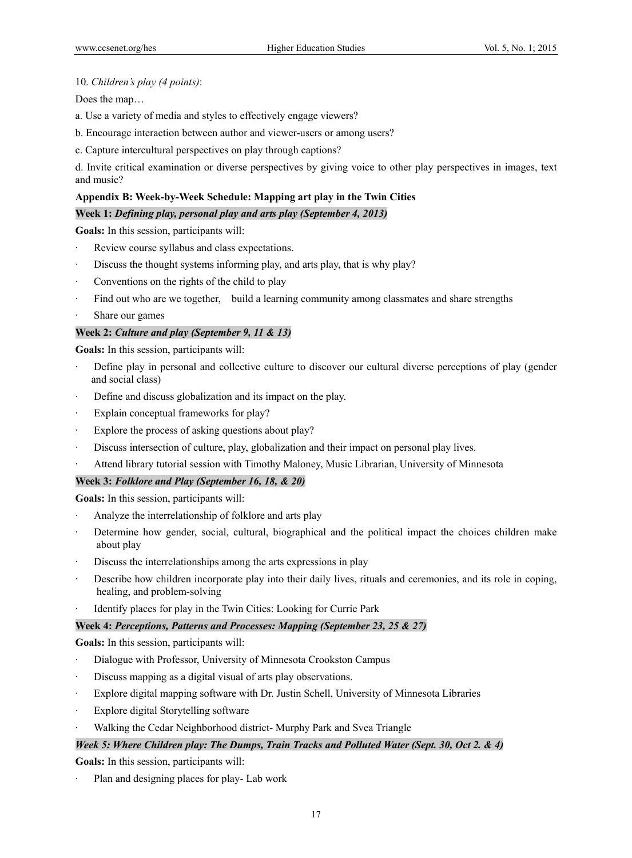## 10. *Children's play (4 points)*:

Does the map…

a. Use a variety of media and styles to effectively engage viewers?

- b. Encourage interaction between author and viewer-users or among users?
- c. Capture intercultural perspectives on play through captions?

d. Invite critical examination or diverse perspectives by giving voice to other play perspectives in images, text and music?

## **Appendix B: Week-by-Week Schedule: Mapping art play in the Twin Cities**

## **Week 1:** *Defining play, personal play and arts play (September 4, 2013)*

**Goals:** In this session, participants will:

- Review course syllabus and class expectations.
- Discuss the thought systems informing play, and arts play, that is why play?
- Conventions on the rights of the child to play
- Find out who are we together, build a learning community among classmates and share strengths
- Share our games

# **Week 2:** *Culture and play (September 9, 11 & 13)*

**Goals:** In this session, participants will:

- Define play in personal and collective culture to discover our cultural diverse perceptions of play (gender and social class)
- Define and discuss globalization and its impact on the play.
- Explain conceptual frameworks for play?
- Explore the process of asking questions about play?
- Discuss intersection of culture, play, globalization and their impact on personal play lives.
- · Attend library tutorial session with Timothy Maloney, Music Librarian, University of Minnesota

# **Week 3:** *Folklore and Play (September 16, 18, & 20)*

**Goals:** In this session, participants will:

- Analyze the interrelationship of folklore and arts play
- Determine how gender, social, cultural, biographical and the political impact the choices children make about play
- Discuss the interrelationships among the arts expressions in play
- Describe how children incorporate play into their daily lives, rituals and ceremonies, and its role in coping, healing, and problem-solving
- Identify places for play in the Twin Cities: Looking for Currie Park

## **Week 4:** *Perceptions, Patterns and Processes: Mapping (September 23, 25 & 27)*

**Goals:** In this session, participants will:

- · Dialogue with Professor, University of Minnesota Crookston Campus
- Discuss mapping as a digital visual of arts play observations.
- · Explore digital mapping software with Dr. Justin Schell, University of Minnesota Libraries
- Explore digital Storytelling software
- Walking the Cedar Neighborhood district- Murphy Park and Svea Triangle

## *Week 5: Where Children play: The Dumps, Train Tracks and Polluted Water (Sept. 30, Oct 2. & 4)*

**Goals:** In this session, participants will:

Plan and designing places for play- Lab work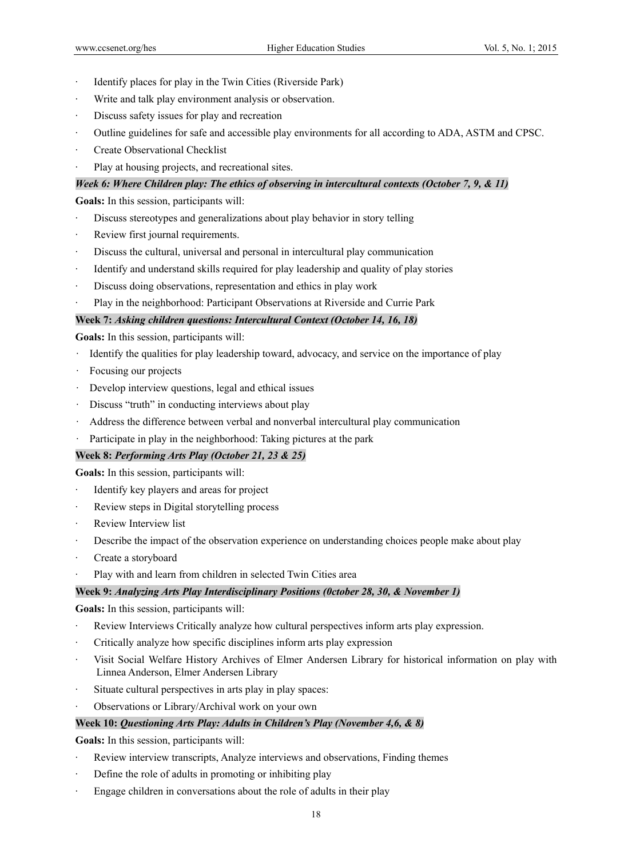- Identify places for play in the Twin Cities (Riverside Park)
- Write and talk play environment analysis or observation.
- Discuss safety issues for play and recreation
- · Outline guidelines for safe and accessible play environments for all according to ADA, ASTM and CPSC.
- Create Observational Checklist
- Play at housing projects, and recreational sites.

## *Week 6: Where Children play: The ethics of observing in intercultural contexts (October 7, 9, & 11)*

**Goals:** In this session, participants will:

- Discuss stereotypes and generalizations about play behavior in story telling
- Review first journal requirements.
- Discuss the cultural, universal and personal in intercultural play communication
- Identify and understand skills required for play leadership and quality of play stories
- Discuss doing observations, representation and ethics in play work
- · Play in the neighborhood: Participant Observations at Riverside and Currie Park

## **Week 7:** *Asking children questions: Intercultural Context (October 14, 16, 18)*

**Goals:** In this session, participants will:

- Identify the qualities for play leadership toward, advocacy, and service on the importance of play
- · Focusing our projects
- · Develop interview questions, legal and ethical issues
- · Discuss "truth" in conducting interviews about play
- · Address the difference between verbal and nonverbal intercultural play communication
- · Participate in play in the neighborhood: Taking pictures at the park

# **Week 8:** *Performing Arts Play (October 21, 23 & 25)*

**Goals:** In this session, participants will:

- Identify key players and areas for project
- Review steps in Digital storytelling process
- **Review Interview list**
- Describe the impact of the observation experience on understanding choices people make about play
- · Create a storyboard
- · Play with and learn from children in selected Twin Cities area

## **Week 9:** *Analyzing Arts Play Interdisciplinary Positions (0ctober 28, 30, & November 1)*

**Goals:** In this session, participants will:

- Review Interviews Critically analyze how cultural perspectives inform arts play expression.
- · Critically analyze how specific disciplines inform arts play expression
- Visit Social Welfare History Archives of Elmer Andersen Library for historical information on play with Linnea Anderson, Elmer Andersen Library
- Situate cultural perspectives in arts play in play spaces:
- · Observations or Library/Archival work on your own

## **Week 10:** *Questioning Arts Play: Adults in Children's Play (November 4,6, & 8)*

**Goals:** In this session, participants will:

- Review interview transcripts, Analyze interviews and observations, Finding themes
- Define the role of adults in promoting or inhibiting play
- Engage children in conversations about the role of adults in their play